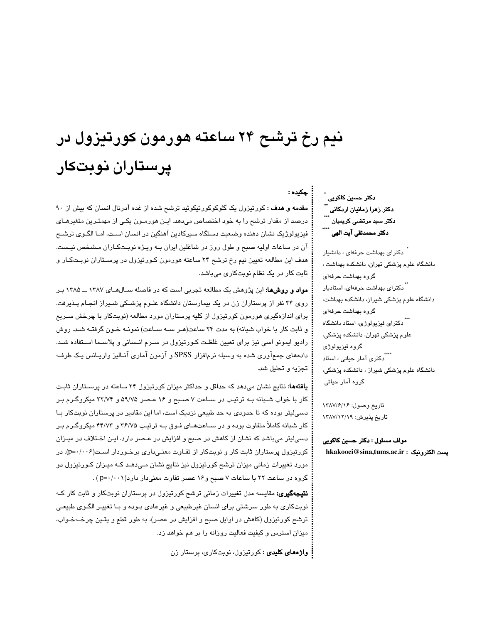# نیم رخ ترشح ۲۴ ساعته هورمون کورتیزول در یرستاران نوبتکار

**مقدمه و هدف :** کورتیزول یک گلوکوکورتیکوئید ترشح شده از غده آدرنال انسان که بیش از ۹۰ درصد از مقدار ترشح را به خود اختصاص میدهد. ایـن هورمـون یکـی از مهمتـرین متغیرهـای فيزيولوژيک نشان دهنده وضعيت دستگاه سيركادين آهنگين در انسان اسـت، امـا الگـوي ترشـح آن در ساعات اولیه صبح و طول روز در شاغلین ایران بـه ویـژه نوبـتکـاران مـشخص نیـست. هدف این مطالعه تعیین نیم رخ ترشح ۲۴ ساعته هورمون کـورتیزول در پرسـتاران نوبـتکـار و ثابت کار در یک نظام نوبتکاری میباشد.

**مواد و روشها:** این پژوهش یک مطالعه تجربی است که در فاصله سـالهـای ۱۳۸۷ ــ ۱۳۸۵ بـر روی ۴۴ نفر از پرستاران زن در یک بیمارستان دانشگاه علـوم پزشـکی شـیراز انجـام پـذیرفت. برای اندازهگیری هورمون کورتیزول از کلیه پرستاران مورد مطالعه (نوبتکار با چرخش سـریع و ثابت کار با خواب شبانه) به مدت ۲۴ ساعت(هـر سـه سـاعت) نمونـه خـون گرفتـه شـد. روش رادیو ایمونو اسی نیز برای تعیین غلظت کـورتیزول در سـرم انـسانی و پلاسـما اسـتفاده شـد. دادههای جمعآوری شده به وسیله نرمافزار SPSS و آزمون آماری آنـالیز واریـانس یـک طرفـه تجزیه و تحلیل شد.

**یافتهها:** نتایج نشان میدهد که حداقل و حداکثر میزان کورتیزول ۲۴ ساعته در پرسـتاران ثابـت کار با خواب شـبانه بـه ترتیـب در سـاعت ۷ صـبح و ۱۶ عـصر ۵۹/۷۵ و ۲۲/۷۴ میکروگـرم بـر دسیلیتر بوده که تا حدودی به حد طبیعی نزدیک است، اما این مقادیر در پرستاران نوبتکار بـا کار شبانه کاملاً متفاوت بوده و در سـاعتهـای فـوق بـه ترتیـب ۲۶/۷۵ و ۴۴/۷۳ میکروگـرم بـر دسی!پتر میباشد که نشان از کاهش در صبح و افزایش در عـصر دارد. ایـن اخـتلاف در میـزان کورتیزول پرستاران ثابت کار و نوبتکار از تفـاوت معنـیداری برخـوردار اسـت(p=۰/۰۰۶). در مورد تغییرات زمانی میزان ترشح کورتیزول نیز نتایج نشان مـیدهـد کـه میـزان کـورتیزول دو گروه در ساعت ٢٢ با ساعات ٧ صبح و ١۶ عصر تفاوت معنى دار دارد( ١٠٠١-p=٠) .

**نتیجهگیری:** مقایسه مدل تغییرات زمانی ترشح کورتیزول در پرستاران نوبتکار و ثابت کار کـه نوبتکاری به طور سرشتی برای انسان غیرطبیعی و غیرعادی بـوده و بـا تغییـر الگـوی طبیعـی ترشح کورتیزول (کاهش در اوایل صبح و افزایش در عصر)، به طور قطع و یقـین چرخــهخــواب، میزان استرس و کیفیت فعالیت روزانه را بر هم خواهد زد.

**: واژههای کلیدی :** کورتیزول، نوبتکاری، پرستار زن

۔<br>دکتر حسین کاکویی ِ ٌ دکتر زهرا زمانیان اردکانی<br>\*\*\* دکتر سید مرتضی کریمیان دكتر محمدتقى آيت الهى ً

حكىدە :

.<br>دکترای بهداشت حرفهای ، دانشیار دانشگاه علوم پزشکی تهران، دانشکده بهداشت ، گروه بهداشت حرفهای ۔<br>" دکترا*ی* بهداشت حرفها*ی،* استادیار دانشگاه علوم پزشکی شیراز، دانشکده بهداشت، گروه بهداشت حرفهای <sup>...</sup>. دکترای فیزیولوژی، استاد دانشگاه علوم پزشکی تهران، دانشکده پزشکی، گروه فیزیولوژی ۔<br>۔<br>دکتری آمار حیات*ی* ، استاد دانشگاه علوم پزشکی شیراز ، دانشکده پزشکی، گروہ آمار حیاتی

تاريخ وصول: ١٣٨٧/۶/١٤ تاريخ پذيرش: ١٣٨٧/١٢/٧

مولف مسئول : دکتر حسین کاکویی hkakooei@sina,tums.ac.ir : يست الكترونيك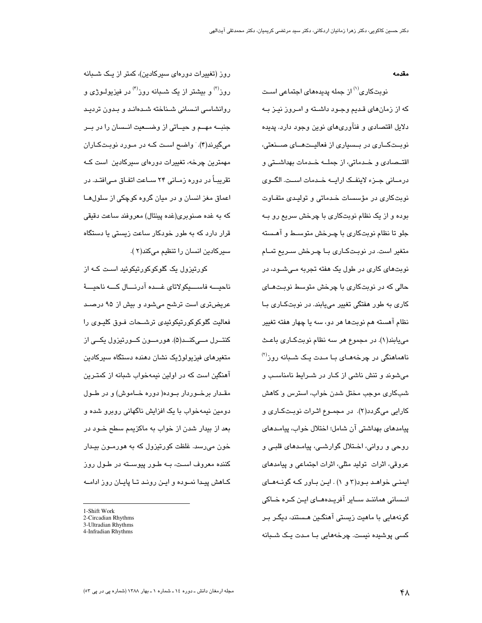مقدمه

نوبتکاری<sup>(۱)</sup> از جمله پدیدههای اجتماعی اسـت که از زمانهای قـدیم وجـود داشـته و امـروز نیـز بـه دلایل اقتصادی و فنآوریهای نوین وجود دارد. پدیده نوبــتکــاری در بــسیاری از فعالیــتهــای صـــنعتی، اقتــصـادی و خــدماتی، از جملـــه خــدمات بهداشـــتی و درمانی جرزء لاینفک ارایه خدمات است. الگوی نوبتکاری در مؤسسات خدماتی و تولیدی متفاوت بوده و از یک نظام نوبتکاری با چرخش سریع رو بـه جلو تا نظام نوبتکاری با چـرخش متوسـط و آهـسته متغیر است. در نوبتکاری بـا چـرخش سـریع تمـام نوبتهای کاری در طول یک هفته تجربه مـیشـود، در حالی که در نوبتکاری با چرخش متوسط نوبتهـای کاری به طور هفتگی تغییر می یابند. در نوبتکاری بـا نظام آهسته هم نوبتها هر دو، سه یا چهار هفته تغییر میپابند(۱). در مجموع هر سه نظام نوبتکـاری باعـث ناهماهنگی در چرخههـای بـا مـدت یـک شــبانه روز<sup>(۲)</sup> میشوند و تنش ناشی از کـار در شـرایط نامناسـب و شبکاری موجب مختل شدن خواب، استرس و کاهش کارایی میگردد(۲). در مجموع اثـرات نوبـتکـاری و پيامدهاي بهداشتي آن شامل؛ اختلال خواب، پيامـدهاي روحی و روانی، اخـتلال گوارشـی، پیامـدهای قلبـی و عروقی، اثرات تولید مثلی، اثرات اجتماعی و پیامدهای ایمنے خواہد بود(۳ و ۱) . این باور کـه گونـههـای انـسانی هماننـد ســایر آفریـدههــای ایــن کــره خــاکی گونههایی با ماهیت زیستی آهنگـین هـستند، دیگـر بـر کسی پوشیدہ نیست. چرخههایی بـا مـدت یـک شـبانه

روز (تغییرات دورهای سیرکادین)، کمتر از یک شـبانه روز<sup>(۳)</sup> و بیشتر از یک شـبانه روز<sup>(۴)</sup> در فیزیولـوژی و روانشاسی انسانی شیناخته شیدهانید و پیدون تردید جنبــه مهــم و حیــاتی از وضـــعیت انــسان را در بــر میگیرند(۴). واضح است کـه در مـورد نوبـتکـاران مهمٽرين چرخه، تغييرات دورهای سپرکادين است کـه تقریبــاً در دوره زمــانی ۲۴ ســاعت اتفــاق مــی|فتــد. در اعماق مغز انسان و در میان گروه کوچکی از سلولها که به غده صنوبری(غده پینئال) معروفند ساعت دقیقی قرار دارد که به طور خودکار ساعت زیستی یا دستگاه سیرکادین انسان را تنظیم میکند(۲ ).

کورتیزول یک گلوکوکورتیکوئید است کـه از ناحىسە فاسىسكو لاتاي غىبدە آدرنسال كىيە ناجىسۇ عریضتری است ترشح میشود و بیش از ۹۵ درصد فعالیت گلوکوکورتیکوئیدی ترشـحات فـوق کلیـوی را کنتـــرل مـــیکنـــد(۵). هورمـــون کـــورتیزول یکـــی از متغیرهای فیزیولوژیک نشان دهنده دستگاه سیرکادین آهنگین است که در اولین نیمهخواب شبانه از کمتـرین مقـدار برخـوردار بـوده( دوره خـاموش) و در طـول دومین نیمهخواب با یک افزایش ناگهانی روبرو شده و بعد از بیدار شدن از خواب به ماکزیمم سطح خــود در خون میرسد. غلظت کورتیزول که به هورمــون بیــدار کننده معروف است، بــه طـور پیوســته در طـول روز کـاهش پیـدا نمــوده و ایــن رونــد تــا پایــان روز ادامــه

4-Infradian Rhythms

<sup>1-</sup>Shift Work

<sup>2-</sup>Circadian Rhythms

<sup>3-</sup>Ultradian Rhythms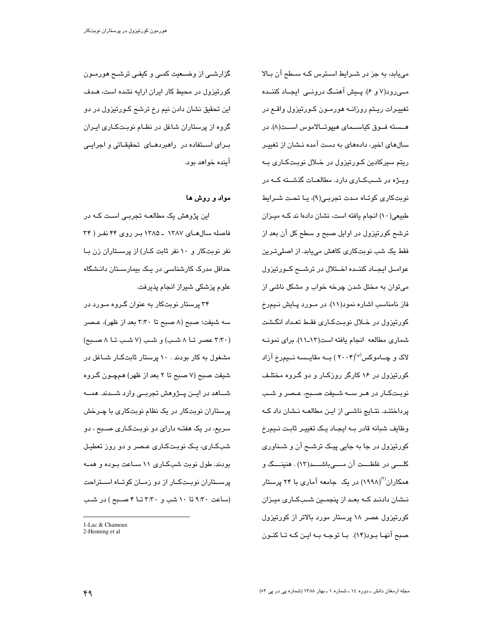می یابد، به جز در شـرایط اسـترس کـه سـطح آن بـالا مے رود(۷ و ۶). پیش آهنگ درونے ِ ایجـاد کننــده تغییـرات ریـتم روزانــه هورمــون کــورتیزول واقــع در هــسته فــوق كياســماي هيپوتــالاموس اســت(٨). در سالهای اخیر، دادههای به دست آمده نـشان از تغییـر ریتم سپرکادین کـورتیزول در خـلال نوبـتکـاری بـه ویشه در شبکاری دارد. مطالعات گذشته که در نوبتکاری کوتاه مدت تجربے(۹)، یا تحت شـرایط طبیعی(١٠) انجام یافته است، نشان دادها ند کـه میـزان ترشح کورتیزول در اوایل صبح و سطح کل آن بعد از فقط یک شب نوبتکاری کاهش میبابد. از اصلیترین عوامل ایجاد کننده اختلال در ترشع کورتیزول می توان به مختل شدن چرخه خواب و مشکل ناشی از فاز نامناسب اشاره نمود(۱۱). در مـورد پـایش نـیمرخ کورتیزول در خـلال نوبـتکـاری فقـط تعـداد انگـشت شماری مطالعه انجام یافته است(۱۲ـ۱۱). برای نمونـه لاک و چــاموکس<sup>(پ</sup>)(۲۰۰۴ ) بــه مقایــسـه نــیم٫خ آزاد کورتیزول در ۱۶ کارگر روزکـار و دو گـروه مختلـف نوبـتکـار در هـر ســه شــیفت صــبح، عـصر و شـب پرداختنـد. نتـایج ناشـی از ایـن مطالعــه نـشان داد کــه وظایف شبانه قادر بـه ایجـاد یـک تغییـر ثابـت نـیمرخ کورتیزول در جا به جایی پیک ترشــح آن و شــناوری کلــــــــی در غلظـــــت آن مـــــــی۱۳شــــــد(۱۳) . هنینــــگ و همکاران<sup>(۲)</sup>(۱۹۹۸) در یک جامعه آماری با ۲۴ پرستار نــشان دادنــد کــه بعــد از پنجمــین شــبکــاری میــزان کورتیزول عصر ۱۸ پرستار مورد بالاتر از کورتیزول صبح آنهـا بـود(١۴). بـا توجـه بـه ايـن كـه تـا كنـون

گزارشے از وضـعیت کمے و کیفے ترشـح هورمـون کورتیزول در محیط کار ایران ارایه نشده است، هـدف این تحقیق نشان دادن نیم رخ ترشح کـورتیزول در دو گروه از پرستاران شاغل در نظـام نوبـتکـاری ایـران بـرای اســتفاده در راهبردهــای تحقیقــاتی و اجرایــی آينده خواهد بود. َ

### مواد و روش ها

این پژوهش یک مطالعــه تجربــی اسـت کــه در فاصله سال های ١٣٨٧ ـ ١٣٨٥ بر روی ۴۴ نفر ( ٣۴ نفر نوبتکار و ۱۰ نفر ثابت کـار) از پرسـتاران زن بـا حداقل مدرک کارشناسی در یـک بیمارسـتان دانـشگاه علوم پزشکی شیراز انجام پذیرفت.

۳۴ پرستار نوبتکار به عنوان گـروه مـورد در سه شيفت؛ صبح (٨ صبح تا ٣:٣٠ بعد از ظهر)، عـصر (٣:٣٠ عصر تــا ٨ شـب) و شـب (٧ شـب تـا ٨ صـبح) مشغول به کار بودند . ۱۰ پرستار ثابتکـار شــاغل در شيفت صبح (٧ صبح تا ٢ بعد از ظهر) همچــون گــروه شساهد در ایــن پــژوهش تجربــی وارد شـــدند. همـــه پرستاران نوبتکار در یک نظام نوبتکاری با چـرخش سریع، در یک هفتــه دارای دو نوبـتکــاری صــبح ، دو شبکاری، یک نوبتکاری عصر و دو روز تعطیل بودند. طول نوبت شبکاری ۱۱ سـاعت بـوده و همـه پرســتاران نوبــتکــار از دو زمــان کوتــاه اســتراحت (ساعت ۹:۳۰ تا ۱۰ شب و ۳:۳۰ تــا ۴ صـبح) در شـب

<sup>1-</sup>Lac & Chamoux

<sup>2-</sup>Henning et al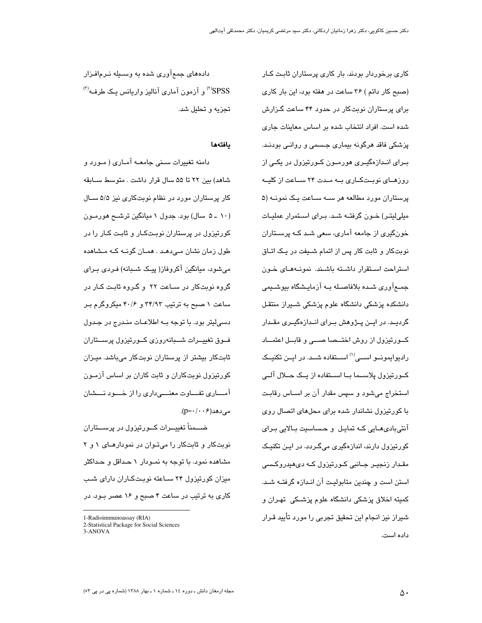کاری برخوردار بودند. بار کاری پرستاران ثابت کـار (صبح کار دائم ) ۳۶ ساعت در هفته بود، این بار کاری برای پرستاران نوبتکار در حدود ۴۴ ساعت گـزارش شده است. افراد انتخاب شده بر اساس معاينات جارى پزشکی فاقد هرگونه بیماری جـسمی و روانـی بودنـد. بــرای انــدازهگیــری هورمــون کــورتیزول در یکــی از روزهای نوبتکاری به مدت ۲۴ ساعت از کلیـه پرستاران مورد مطالعه هر ســه ســاعت یـک نمونــه (۵ میلی لیتر) خـون گرفتـه شـد. بـرای اسـتمرار عملیـات خونگیری از جامعه آماری، سعی شـد کــه پرســتاران نوبتکار و ثابت کار پس از اتمام شـيفت در يـک اتـاق استراحت استقرار داشته باشند. نمونههای خون جمـعآوری شـده بلافاصـله بـه آزمایـشگاه بیوشـیمی دانشکده پزشکی دانشگاه علوم پزشکی شـیراز منتقـل گردیـد. در ایــن پــژوهش بــرای انــدازهگیــری مقــدار کــورتیزول از روش اختــصا صـــی و قابــل اعتمـــاد رادیوایمونــو اســـی<sup>(۱)</sup> اســتفاده شــد. در ایــن تکنیــک کــورتیزول پلاســـما بــا اســـتفاده از یــک حـــلال آلـــی استخراج میشود و سپس مقدار آن بر اسـاس رقابـت با کورتیزول نشاندار شده برای محلهای اتصال روی آنتیبادیهـایی کـه تمایـل و حـساسیت بـالایی بـرای کورتیزول دارند، اندازهگیری میگردد. در این تکنیک مقـدار زنجيـر جــانبي کــورتيزول کــه دی،هيدروکـسي استن است و چندین متابولیت آن انـدازه گرفتــه شــد. کميته اخلاق پزشکي دانشگاه علوم پزشـکي تهـران و شیراز نیز انجام این تحقیق تجربی را مورد تأیید قـرار داده است.

دادههای جمعآوری شده به وسیله نرمافزار  $^{(7)}$ و آزمون آماری آنالیز واریانس یک طرف<sup>(۲)</sup> تحزيه و تحليل شد.

#### بافتهما

دامنه تغییرات سـنی جامعــه آمــاری ( مــورد و شاهد) بين ٢٢ تا ۵۵ سال قرار داشت . متوسط سـابقه کار پرستاران مورد در نظام نوبتکاری نیز ۵/۵ سـال (۱۰ ـ ۵ سال) بود. جدول ۱ میانگین ترشــح هورمـون کورتیزول در پرستاران نوبـتکـار و ثابـت کـار را در طول زمان نشان مےدھـد . همـان گونــه کــه مــشاهده میشود، میانگین آکروفاز( پیک شـبانه) فـردی بـرای گروه نویتکار در سیاعت ۲۲ و گیروه ثابت کیار در ساعت ۱ صبح به ترتیب ۳۴/۹۳ و ۴۰/۶ میکروگرم بر دسی لیتر بود. با توجه بـه اطلاعـات منـدرج در جـدول فسوق تغييسرات شسبانهروزي كسورتيزول پرسستاران ثابتکار بیشتر از پرستاران نوبتکار میباشد. میـزان کورتیزول نوبتکاران و ثابت کاران بر اساس آزمـون آمساری تفساوت معنسی داری را از خسود نسشان  $(p=-(\cdot \cdot \epsilon)$ مے دھد

ضـــمناً تغییـــرات کـــورتیزول در پرســـتاران نوبتکار و ثابتکار را میتوان در نمودارهای ١ و ٢ مشاهده نمود. با توجه به نمـودار ۱ حـداقل و حـداکثر میزان کورتیزول ۲۴ سـاعته نوبـتکـاران دارای شـب کاری به ترتیب در ساعت ۴ صبح و ۱۶ عصر بـود. در

 $1-R$  adioimmunoassay  $(RIA)$ 

<sup>2-</sup>Statistical Package for Social Sciences

<sup>3-</sup>ANOVA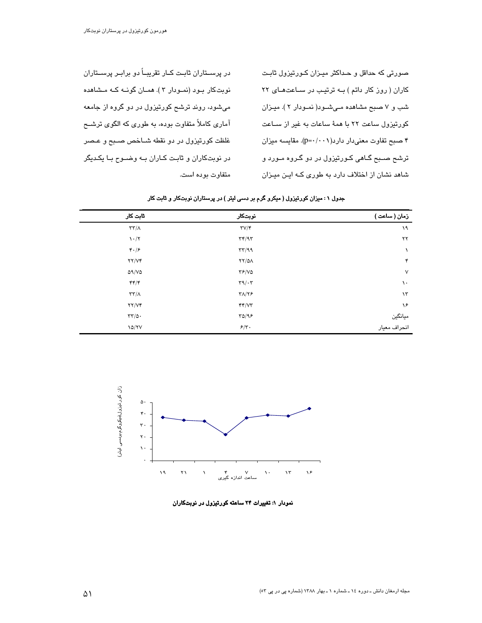صورتی که حداقل و حـداکثر میـزان کـورتیزول ثابـت کاران ( روز کار دائم ) بـه ترتیـب در سـاعتهـای ۲۲ شب و ۷ صبح مشاهده میشود( نمودار ۲ ). میزان کورتیزول ساعت ۲۲ با همهٔ ساعات به غیر از سـاعت ۴ صبح تفاوت معنى دار دارد( ۱۰۰۱). مقايسه ميزان ترشع صـبع گــاهی کــورتیزول در دو گــروه مــورد و شاهد نشان از اختلاف دارد به طوری کـه ایـن میـزان

در پرســڌاران ثابــت کــار تقریبــاً دو برابــر پرســڌاران نوبتکار بود (نمودار ۳ ). همـان گونــه کــه مـشاهده میشود، روند ترشح کورتیزول در دو گروه از جامعه آماری کاملاً متفاوت بوده، به طوری که الگوی ترشــح غلظت کورتیزول در دو نقطه شـاخص صـبح و عـصر در نوبت کاران و ثابت کاران به وضوح با یکدیگر متفاوت بوده است.

| ٹابت کار                          | نوبتكار                      | زمان ( ساعت )           |
|-----------------------------------|------------------------------|-------------------------|
| $\tau\tau/\Lambda$                | $\Upsilon V/\Upsilon$        | ۱۹                      |
| $\mathcal{N} \cdot / \mathcal{N}$ | $\tau\tau/9\tau$             | ۲۲                      |
| 4.15                              | $\tau\tau/99$                | $\lambda$               |
| YY/VF                             | $YY/\Delta A$                | ۴                       |
| $\Delta$ 9/V $\Delta$             | YF/VQ                        | $\sf V$                 |
| $\mathbf{f}(\mathbf{r})$          | $\Gamma$ 9/ $\cdot$          | ١.                      |
| $\tau\tau/\Lambda$                | $\Upsilon\Lambda/\Upsilon$ ۶ | $\lambda$ ۳             |
| YY/VF                             | YY/YY                        | ۱۶                      |
| $\tau\tau/\Delta$ .               | YQ/99                        |                         |
| 10/7V                             | $5/\tau$ .                   | ميانگين<br>انحراف معيار |

جدول ۱ : میزان کورتیزول ( میکرو گرم بر دسی لیتر ) در پرستاران نوبتکار و ثابت کار



نمودار ۱: تغییرات ۲۴ ساعته کورتیزول در نوبتکاران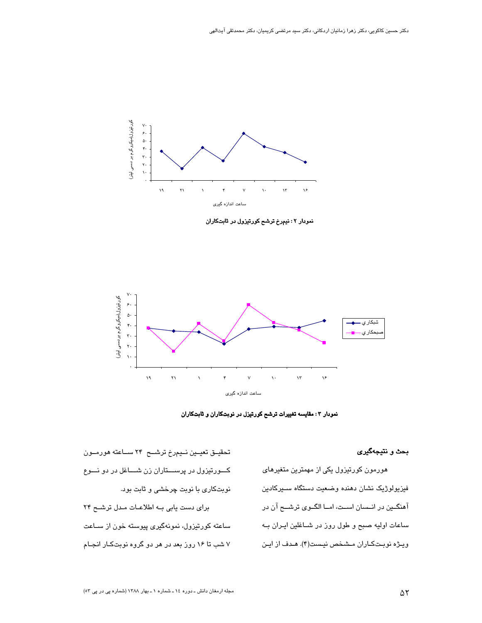

نمودار ۲ : نیمرخ ترشح کورتیزول در ثابتکاران



نمودار ۳: مقایسه تغییرات ترشح کورتیزل در نوبتکاران و ثابتکاران

#### بحث و نتيجهگيري

هورمون کورتیزول یکی از مهمترین متغیرهای فيزيولوژيک نشان دهنده وضعيت دستگاه سـيرکادين آهنگین در انسان است، اما الگوی ترشع آن در ساعات اولیه صبح و طول روز در شــاغلین ایـران بــه ويژه نوبتكاران مشخص نيست(۴). هـدف از ايـن

تحقیــق تعیــین نــیم٫رخ ترشـــح ۲۴ ســاعته هورمــون کسورتیزول در پرســـتاران زن شـــاغل در دو نـــوع نوبتکاری با نوبت چرخشی و ثابت بود. برای دست یابی به اطلاعات مدل ترشح ٢۴ ساعته کورتیزول، نمونهگیری پیوسته خون از سـاعت ۷ شب تا ۱۶ روز بعد در هر دو گروه نوبتکار انجـام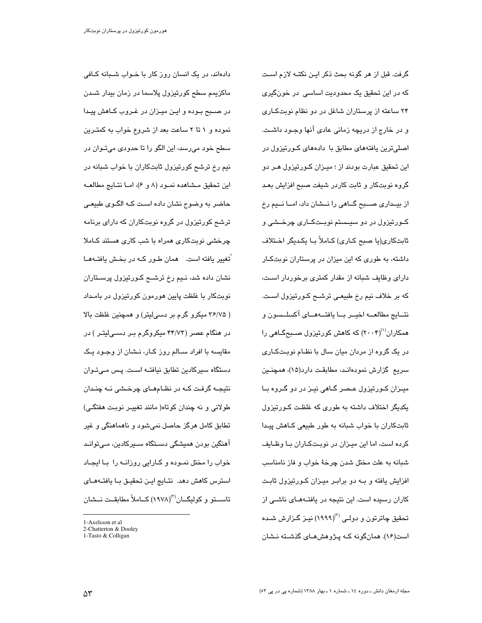گرفت. قبل از هر گونه بحث ذکر ایـن نکتــه لازم اسـت که در این تحقیق یک محدودیت اساسی در خونگیری ۲۴ ساعته از پرستاران شاغل در دو نظام نوبتکاری و در خارج از دریچه زمانی عادی انها وجـود داشـت. اصلیترین یافتههای مطابق با دادههای کـورتیزول در این تحقیق عبارت بودند از ؛ میـزان کـورتیزول هـر دو گروه نوبتکار و ثابت کاردر شیفت صبح افزایش بعـد از بیــداری صـــبح گــاهی را نــشان داد، امــا نـــیم رخ کــورتیزول در دو سیــستم نوبــتکــاری چرخــشی و ثابتكاري(يا صبح كـاري) كـاملاً بـا يكـديگر اخـتلاف داشته، به طوری که این میزان در پرستاران نوبتکـار دارای وظایف شبانه از مقدار کمتری برخوردار است، که بر خلاف نیم رخ طبیعـی ترشــح کــورتیزول اسـت. نتسايج مطالعـــه اخيــر بـــا يافتـــهمــاى آكسلــسون و همکاران<sup>(۱)</sup>(۲۰۰۴) که کاهش کورتیزول صــبحگــا*هی* را در یک گروه از مردان میان سال با نظـام نوبـتکـاری سريع گزارش نمودهانـد، مطابقـت دارد(۱۵)، همچنــین میـزان کـورتیزول عـصر گـاهی نیـز در دو گـروه بـا یکدیگر اختلاف داشته به طوری که غلظت کـورتیزول ثابتکاران با خواب شبانه به طور طبیعی کـاهش پیـدا کرده است، اما این میـزان در نوبـتکـاران بـا وظـایف شبانه به علت مختل شدن چرخهٔ خواب و فاز نامناسب افزایش یافته و بــه دو برابـر میــزان کــورتیزول ثابـت كاران رسيده است. اين نتيجه در يافتههاى ناشى از - تحقیق چاترتون و دولـی <sup>(۲)</sup>(۱۹۹۹) نیـز گـزارش شـده است(۱۶). همانگونه کـه پـژوهشهـای گذشـته نـشان

دادهاند، در یک انسان روز کار با خـواب شـبانه کـافی ماکزیمم سطح کورتیزول پلاسما در زمان بیدار شــدن در صـبح بـوده و ايـن ميـزان در غـروب كـاهش پيـدا نموده و ۱ تا ۲ ساعت بعد از شروع خواب به کمتـرین سطح خود میرسد، این الگو را تا حدودی میتـوان در نیم رخ ترشح کورتیزول ثابتکاران با خواب شبانه در اين تحقيق مشاهده نمود (٨ و ۶)، امـا نتايج مطالعـه حاضر به وضوح نشان داده است کـه الگـوی طبیعـی ترشح کورتیزول در گروه نوبتکاران که دارای برنامه چرخشی نوبتکاری همراه با شب کاری هستند کـاملا ًتغییر یافته است. <sup>-</sup> همان طـور کــه در بخـش یافتــههــا نشان داده شد، نـیم رخ ترشــح کــورتیزول پرســتاران نوبتکار با غلظت پایین هورمون کورتیزول در بامـداد ( ۳۶/۷۵ میکرو گرم بر دسی لیتر) و همچنین غلظت بالا در هنگام عصر (۴۴/۷۳ میکروگرم بـر دسـی|لیتـر ) در مقایسه با افراد ســالم روز کــار، نــشان از وجــود یـک دستگاه سپرکادین تطابق نیافتــه اسـت. پـس مــیتــوان نتیجـه گرفت کـه در نظـامهـای چرخـشی نـه چنـدان طولانی و نه چندان کوتاه( مانند تغییـر نوبـت هفتگـی) تطابق کامل هرگز حاصل نمیشود و ناهماهنگی و غیر آهنگین بودن همیشگی دسـتگاه ســیرکادین، مـی توانـد خواب را مختل نمـوده و کــارایی روزانــه را بــا ایجــاد استرس کاهش دهد. نتـایج ایـن تحقیـق بـا یافتــههـای تاســتو و کولیگــان<sup>(۳)</sup>(۱۹۷۸) کــاملاً مطابقــت نــشان

<sup>1-</sup>Axelsson et al

<sup>2-</sup>Chatterton & Dooley 1-Tasto & Colligan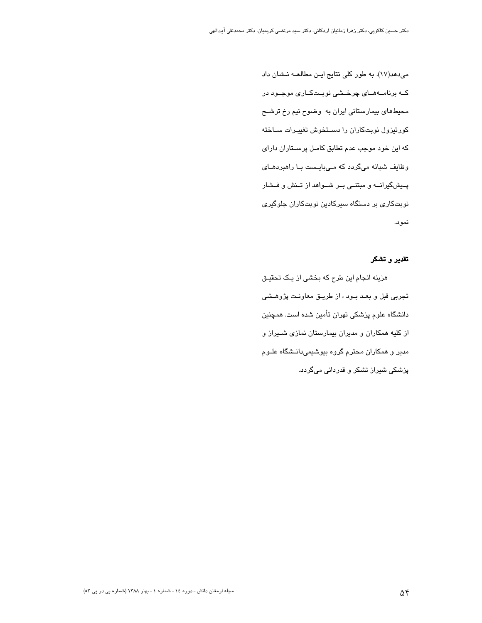می دهد(١٧). به طور کلی نتایج این مطالعـه نـشان داد کــه برنامــههــای چرخــشی نوبــتکــاری موجــود در محیطهای بیمارستانی ایران به وضوح نیم رخ ترشـح کورتیزول نوبتکاران را دستخوش تغییـرات سـاخته که این خود موجب عدم تطابق کامـل پرســتاران دارای وظایف شبانه میگردد که میبایست با راهبردهای پیشگیرانــه و مبتنــی بــر شــواهد از تــنش و فــشار نوبتکاری بر دستگاه سیرکادین نوبتکاران جلوگیری نمود.

#### تقدير و تشكر

هزینه انجام این طرح که بخشی از یک تحقیق تجربي قبل و بعـد بـود ، از طريـق معاونـت پژوهـشي دانشگاه علوم پزشکی تهران تأمین شده است. همچنین از کلیه همکاران و مدیران بیمارستان نمازی شـیراز و مدیر و همکاران محترم گروه بیوشیمیدانـشگاه علـوم پزشکی شیراز تشکر و قدردانی میگردد.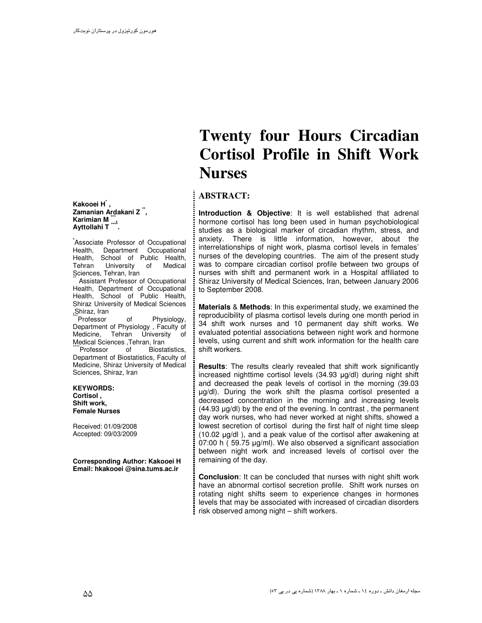**Kakooei H\* , Zamanian Ardakani Z \*\* , Karimian M \*\*\* , Ayttollahi T \*\*\*\* .**

**\***Associate Professor of Occupational Health, Department Occupational Health, School of Public Health, Tehran University of Medical Sciences, Tehran, Iran

Assistant Professor of Occupational Health, Department of Occupational Health, School of Public Health, Shiraz University of Medical Sciences ,Shiraz, Iran

Professor of Physiology, Department of Physiology , Faculty of Medicine, Tehran University of Medical Sciences ,Tehran, Iran<br>
"Professor of Biosta

Biostatistics. Department of Biostatistics, Faculty of Medicine, Shiraz University of Medical Sciences, Shiraz, Iran

**KEYWORDS: Cortisol , Shift work, Female Nurses**

Received: 01/09/2008 Accepted: 09/03/2009

**Corresponding Author: Kakooei H Email: hkakooei @sina.tums.ac.ir**

# **Twenty four Hours Circadian Cortisol Profile in Shift Work Nurses**

## **ABSTRACT:**

**Introduction & Objective**: It is well established that adrenal hormone cortisol has long been used in human psychobiological studies as a biological marker of circadian rhythm, stress, and anxiety. There is little information, however, about the interrelationships of night work, plasma cortisol levels in females' nurses of the developing countries. The aim of the present study was to compare circadian cortisol profile between two groups of nurses with shift and permanent work in a Hospital affiliated to Shiraz University of Medical Sciences, Iran, between January 2006 to September 2008.

**Materials** & **Methods**: In this experimental study, we examined the reproducibility of plasma cortisol levels during one month period in 34 shift work nurses and 10 permanent day shift works. We evaluated potential associations between night work and hormone levels, using current and shift work information for the health care shift workers.

**Results**: The results clearly revealed that shift work significantly increased nighttime cortisol levels (34.93 µg/dl) during night shift and decreased the peak levels of cortisol in the morning (39.03 µg/dl). During the work shift the plasma cortisol presented a decreased concentration in the morning and increasing levels (44.93 µg/dl) by the end of the evening. In contrast , the permanent day work nurses, who had never worked at night shifts, showed a lowest secretion of cortisol during the first half of night time sleep (10.02 µg/dl ), and a peak value of the cortisol after awakening at 07:00 h ( 59.75 µg/ml). We also observed a significant association between night work and increased levels of cortisol over the remaining of the day.

**Conclusion**: It can be concluded that nurses with night shift work have an abnormal cortisol secretion profile. Shift work nurses on rotating night shifts seem to experience changes in hormones levels that may be associated with increased of circadian disorders risk observed among night – shift workers.